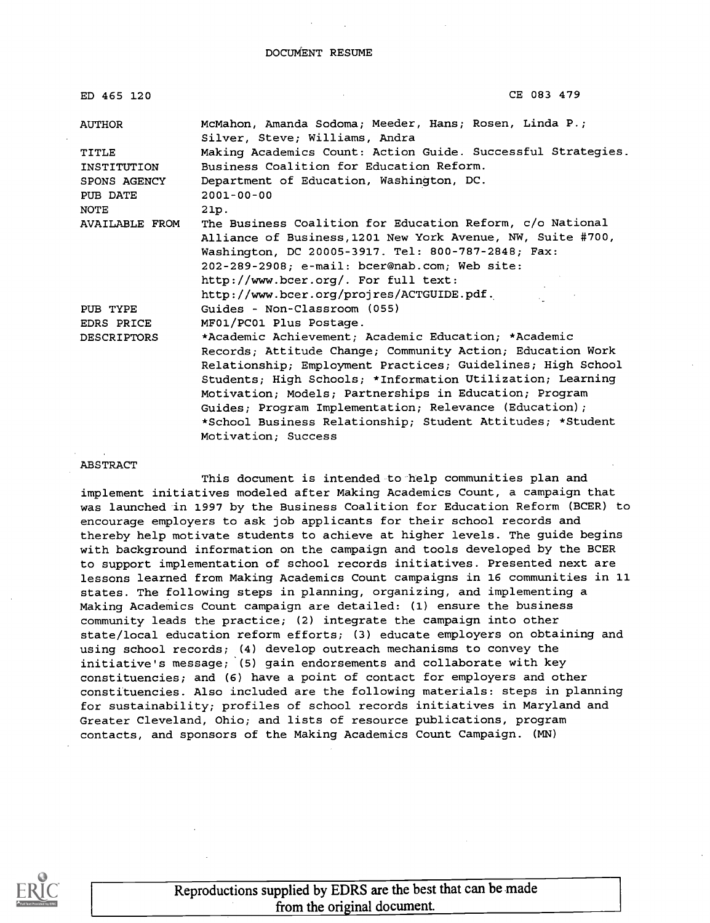DOCUMENT RESUME

| ED 465 120            | CE 083 479                                                                               |
|-----------------------|------------------------------------------------------------------------------------------|
| <b>AUTHOR</b>         | McMahon, Amanda Sodoma; Meeder, Hans; Rosen, Linda P.;<br>Silver, Steve; Williams, Andra |
| TITLE                 | Making Academics Count: Action Guide. Successful Strategies.                             |
| INSTITUTION           | Business Coalition for Education Reform.                                                 |
| SPONS AGENCY          | Department of Education, Washington, DC.                                                 |
| PUB DATE              | $2001 - 00 - 00$                                                                         |
| NOTE                  | 21p.                                                                                     |
| <b>AVAILABLE FROM</b> | The Business Coalition for Education Reform, c/o National                                |
|                       | Alliance of Business, 1201 New York Avenue, NW, Suite #700,                              |
|                       | Washington, DC 20005-3917. Tel: 800-787-2848; Fax:                                       |
|                       | 202-289-2908; e-mail: bcer@nab.com; Web site:                                            |
|                       | http://www.bcer.org/. For full text:                                                     |
|                       | http://www.bcer.org/projres/ACTGUIDE.pdf.                                                |
| PUB TYPE              | Guides - Non-Classroom (055)                                                             |
| EDRS PRICE            | MF01/PC01 Plus Postage.                                                                  |
| DESCRIPTORS           | *Academic Achievement; Academic Education; *Academic                                     |
|                       | Records; Attitude Change; Community Action; Education Work                               |
|                       | Relationship; Employment Practices; Guidelines; High School                              |
|                       | Students; High Schools; *Information Utilization; Learning                               |
|                       | Motivation; Models; Partnerships in Education; Program                                   |
|                       | Guides; Program Implementation; Relevance (Education);                                   |
|                       | *School Business Relationship; Student Attitudes; *Student                               |
|                       | Motivation: Success                                                                      |

#### ABSTRACT

This document is intended to help communities plan and implement initiatives modeled after Making Academics Count, a campaign that was launched in 1997 by the Business Coalition for Education Reform (BCER) to encourage employers to ask job applicants for their school records and thereby help motivate students to achieve at higher levels. The guide begins with background information on the campaign and tools developed by the BCER to support implementation of school records initiatives. Presented next are lessons learned from Making Academics Count campaigns in 16 communities in 11 states. The following steps in planning, organizing, and implementing a Making Academics Count campaign are detailed: (1) ensure the business community leads the practice; (2) integrate the campaign into other state/local education reform efforts; (3) educate employers on obtaining and using school records; (4) develop outreach mechanisms to convey the initiative's message; (5) gain endorsements and collaborate with key constituencies; and (6) have a point of contact for employers and other constituencies. Also included are the following materials: steps in planning for sustainability; profiles of school records initiatives in Maryland and Greater Cleveland, Ohio; and lists of resource publications, program contacts, and sponsors of the Making Academics Count Campaign. (MN)



Reproductions supplied by EDRS are the best that can be made from the original document.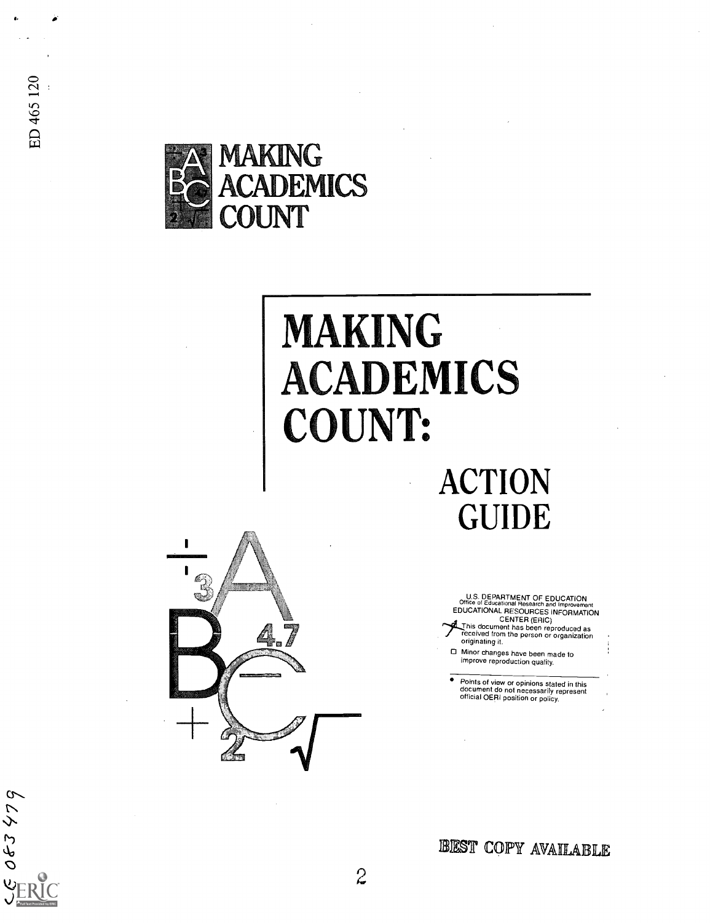083479



# **MAKING** ACADEMICS COUNT:

## ACTION GUIDE



U.S. DEPARTMENT OF EDUCATION<br>Office of Educational Research and Improvement<br>EDUCATIONAL RESOURCES INFORMATION

CENTER (ERIC)<br>This document has been reproduced as<br>critical from the person or organization<br>originating it.

O Minor changes have been made to improve reproduction quality.

Points of view or opinions stated in this document do not necessarily represent official OERI position or policy.

BEST COPY AVAILABLE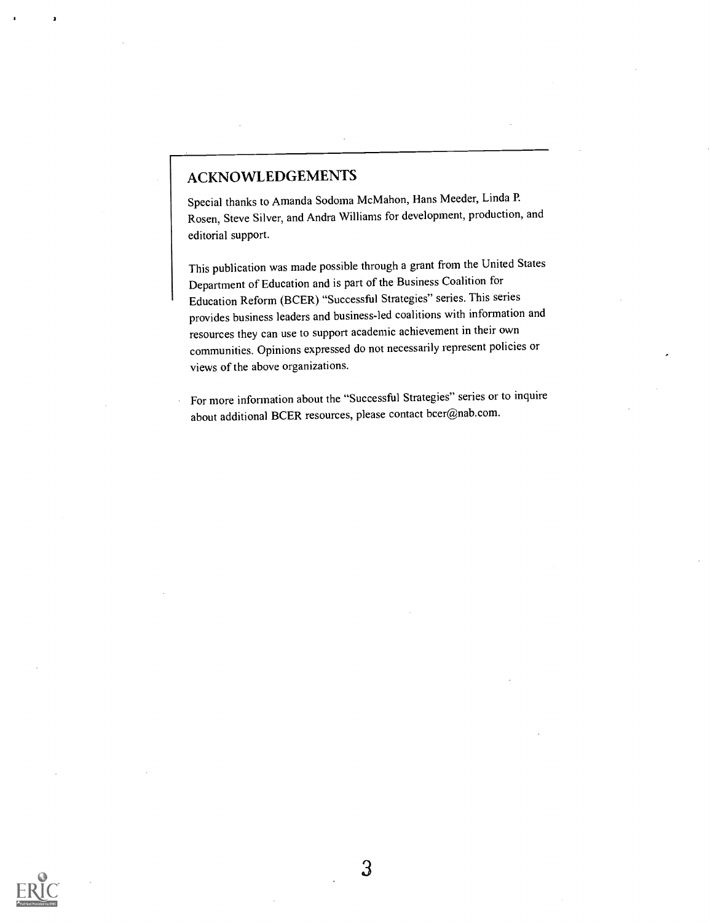### ACKNOWLEDGEMENTS

Special thanks to Amanda Sodoma McMahon, Hans Meeder, Linda P. Rosen, Steve Silver, and Andra Williams for development, production, and editorial support.

This publication was made possible through a grant from the United States Department of Education and is part of the Business Coalition for Education Reform (BCER) "Successful Strategies" series. This series provides business leaders and business-led coalitions with information and resources they can use to support academic achievement in their own communities. Opinions expressed do not necessarily represent policies or views of the above organizations.

For more information about the "Successful Strategies" series or to inquire about additional BCER resources, please contact bcer@nab.com.

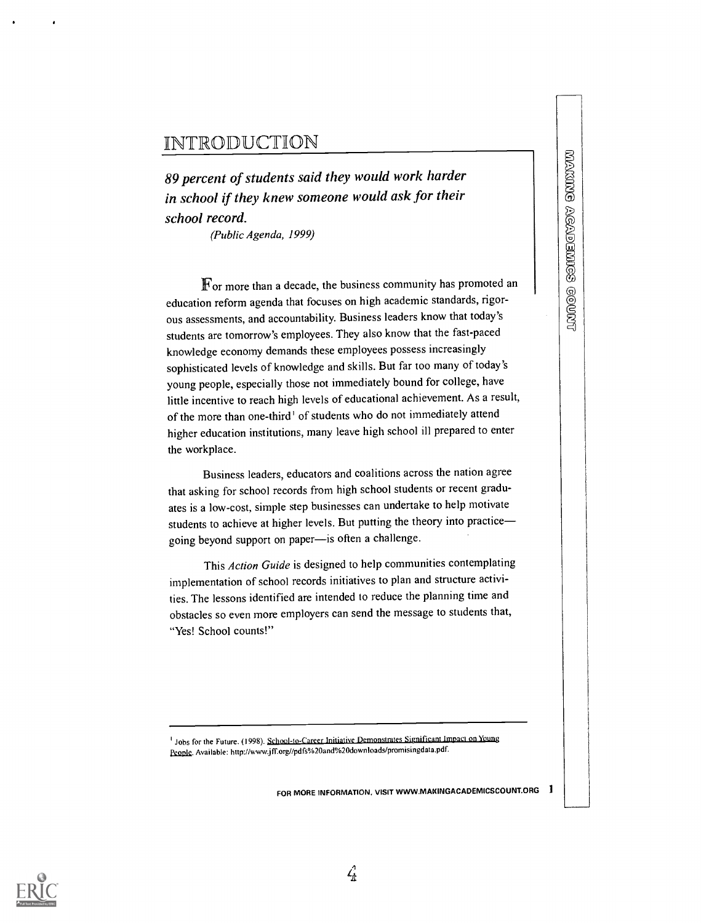### **INTRODUCTION**

89 percent of students said they would work harder in school if they knew someone would ask for their school record.

(Public Agenda, 1999)

For more than a decade, the business community has promoted and they knew someone would ask for their<br>
(Public Agenda, 1999)<br>
For more than a decade, the business community has promoted an<br>
on reform agenda that focuses on education reform agenda that focuses on high academic standards, rigorous assessments, and accountability. Business leaders know that today's students are tomorrow's employees. They also know that the fast-paced knowledge economy demands these employees possess increasingly sophisticated levels of knowledge and skills. But far too many of today's young people, especially those not immediately bound for college, have little incentive to reach high levels of educational achievement. As a result, of the more than one-third' of students who do not immediately attend higher education institutions, many leave high school ill prepared to enter the workplace.

Business leaders, educators and coalitions across the nation agree that asking for school records from high school students or recent graduates is a low-cost, simple step businesses can undertake to help motivate students to achieve at higher levels. But putting the theory into practice going beyond support on paper-is often a challenge.

This Action Guide is designed to help communities contemplating implementation of school records initiatives to plan and structure activities. The lessons identified are intended to reduce the planning time and obstacles so even more employers can send the message to students that, "Yes! School counts!"

<sup>1</sup> Jobs for the Future. (1998). School-to-Career Initiative Demonstrates Significant Impact on Young People. Available: http://www.jff.org//pdfs%20and%20downloads/promisingdata.pdf.

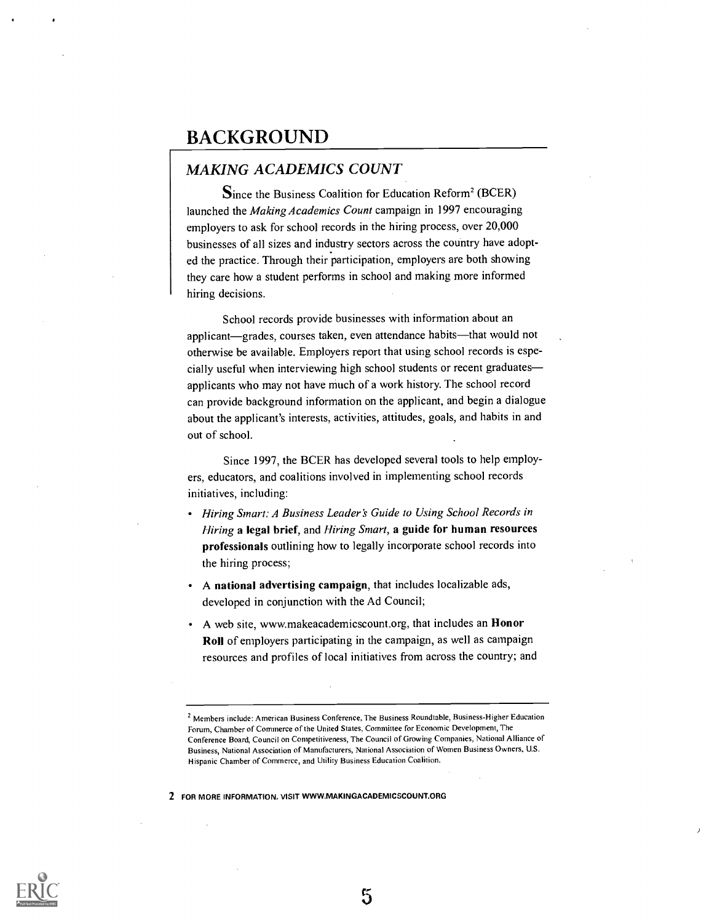### BACKGROUND

### MAKING ACADEMICS COUNT

Since the Business Coalition for Education Reform' (BCER) launched the Making Academics Count campaign in 1997 encouraging employers to ask for school records in the hiring process, over 20,000 businesses of all sizes and industry sectors across the country have adopted the practice. Through their participation, employers are both showing they care how a student performs in school and making more informed hiring decisions.

School records provide businesses with information about an applicant—grades, courses taken, even attendance habits—that would not otherwise be available. Employers report that using school records is especially useful when interviewing high school students or recent graduates applicants who may not have much of a work history. The school record can provide background information on the applicant, and begin a dialogue about the applicant's interests, activities, attitudes, goals, and habits in and out of school.

Since 1997, the BCER has developed several tools to help employers, educators, and coalitions involved in implementing school records initiatives, including:

- Hiring Smart: A Business Leader's Guide to Using School Records in Hiring a legal brief, and Hiring Smart, a guide for human resources professionals outlining how to legally incorporate school records into the hiring process;
- A national advertising campaign, that includes localizable ads, developed in conjunction with the Ad Council;
- A web site, www.makeacademicscountorg, that includes an Honor Roll of employers participating in the campaign, as well as campaign resources and profiles of local initiatives from across the country; and

2 FOR MORE INFORMATION, VISIT WWW.MAKINOACADEMICSCOUNT.ORG



5

<sup>2</sup> Members include: American Business Conference, The Business Roundtable, Business-Higher Education Forum, Chamber of Commerce of the United States. Committee for Economic Development, The Conference Board, Council on Competitiveness, The Council of Growing Companies, National Alliance of Business, National Association of Manufacturers, National Association of Women Business Owners, U.S. Hispanic Chamber of Commerce, and Utility Business Education Coalition.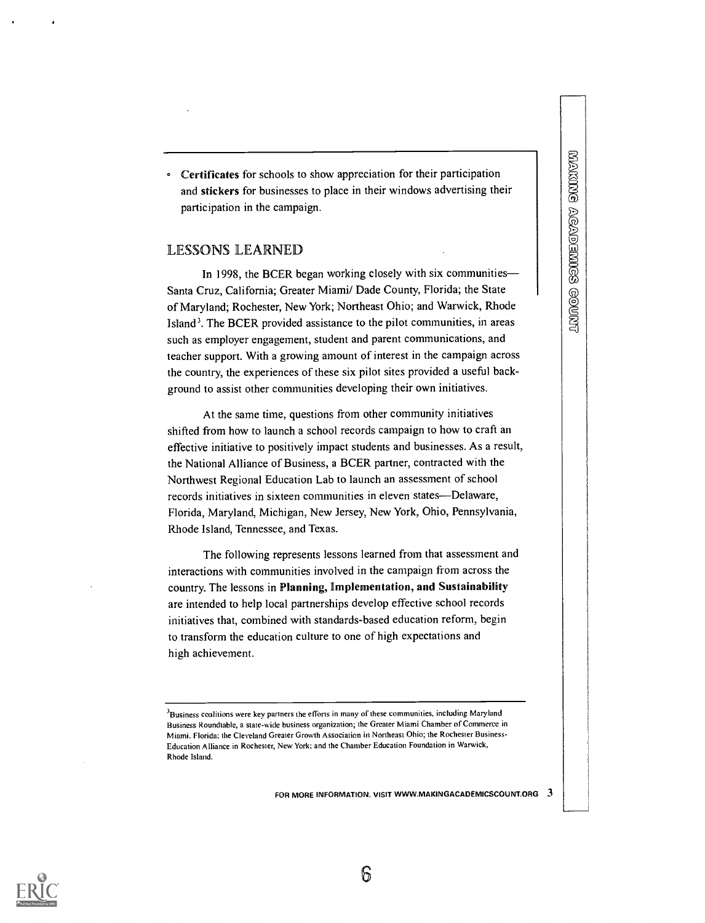Certificates for schools to show appreciation for their participation and stickers for businesses to place in their windows advertising their participation in the campaign.

#### LESSONS LEARNED

In 1998, the BCER began working closely with six communities— Santa Cruz, California; Greater Miami/ Dade County, Florida; the State of Maryland; Rochester, New York; Northeast Ohio; and Warwick, Rhode Island'. The BCER provided assistance to the pilot communities, in areas such as employer engagement, student and parent communications, and teacher support. With a growing amount of interest in the campaign across the country, the experiences of these six pilot sites provided a useful background to assist other communities developing their own initiatives.

At the same time, questions from other community initiatives shifted from how to launch a school records campaign to how to craft an effective initiative to positively impact students and businesses. As a result, the National Alliance of Business, a BCER partner, contracted with the Northwest Regional Education Lab to launch an assessment of school records initiatives in sixteen communities in eleven states—Delaware, Florida, Maryland, Michigan, New Jersey, New York, Ohio, Pennsylvania, Rhode Island, Tennessee, and Texas.

The following represents lessons learned from that assessment and interactions with communities involved in the campaign from across the country. The lessons in Planning, implementation, and Sustainability are intended to help local partnerships develop effective school records initiatives that, combined with standards-based education reform, begin to transform the education culture to one of high expectations and high achievement.

FOR MORE INFORMATION, VISIT WWW.MAKINGACADEMICSCOUNT.ORG  $3$ 



6

<sup>&</sup>lt;sup>3</sup>Business coalitions were key partners the efforts in many of these communities, including Maryland Business Roundtable, a state-wide business organization; the Greater Miami Chamber of Commerce in Miami. Florida: the Cleveland Greater Growth Association in Northeast Ohio; the Rochester Business-Education Alliance in Rochester, New York; and the Chamber Education Foundation in Warwick. Rhode Island.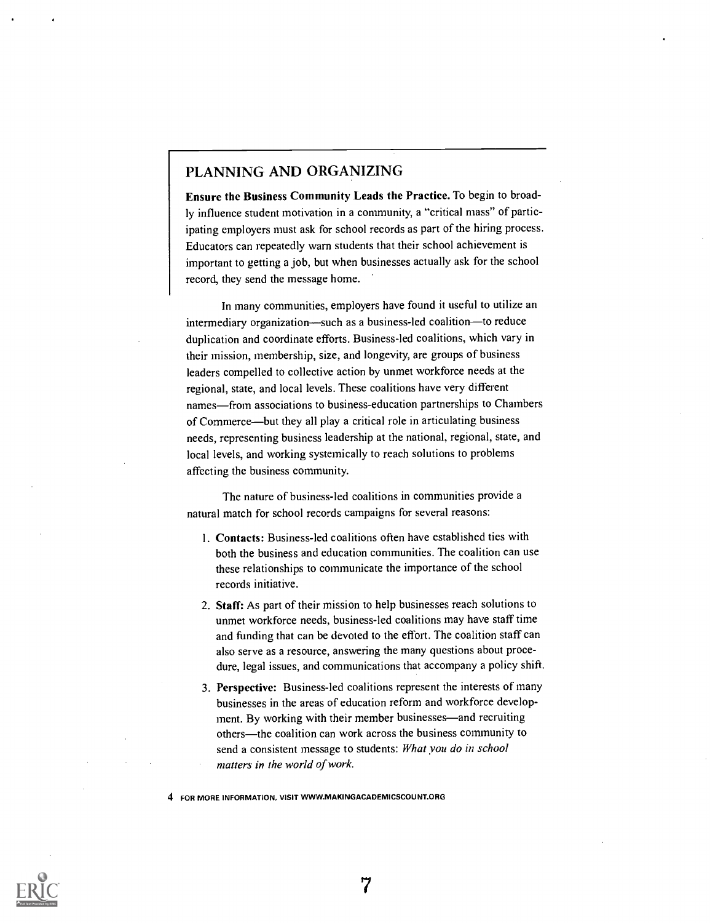### PLANNING AND ORGANIZING

Ensure the Business Community Leads the Practice. To begin to broadly influence student motivation in a community, a "critical mass" of participating employers must ask for school records as part of the hiring process. Educators can repeatedly warn students that their school achievement is important to getting a job, but when businesses actually ask for the school record, they send the message home.

In many communities, employers have found it useful to utilize an intermediary organization—such as a business-led coalition—to reduce duplication and coordinate efforts. Business-led coalitions, which vary in their mission, membership, size, and longevity, are groups of business leaders compelled to collective action by unmet workforce needs at the regional, state, and local levels. These coalitions have very different names—from associations to business-education partnerships to Chambers of Commerce—but they all play a critical role in articulating business needs, representing business leadership at the national, regional, state, and local levels, and working systemically to reach solutions to problems affecting the business community.

The nature of business-led coalitions in communities provide a natural match for school records campaigns for several reasons:

- I. Contacts: Business-led coalitions often have established ties with both the business and education communities. The coalition can use these relationships to communicate the importance of the school records initiative.
- 2. Staff: As part of their mission to help businesses reach solutions to unmet workforce needs, business-led coalitions may have staff time and funding that can be devoted to the effort. The coalition staff can also serve as a resource, answering the many questions about procedure, legal issues, and communications that accompany a policy shift.
- 3. Perspective: Business-led coalitions represent the interests of many businesses in the areas of education reform and workforce development. By working with their member businesses—and recruiting others-the coalition can work across the business community to send a consistent message to students: What you do in school matters in the world of work.

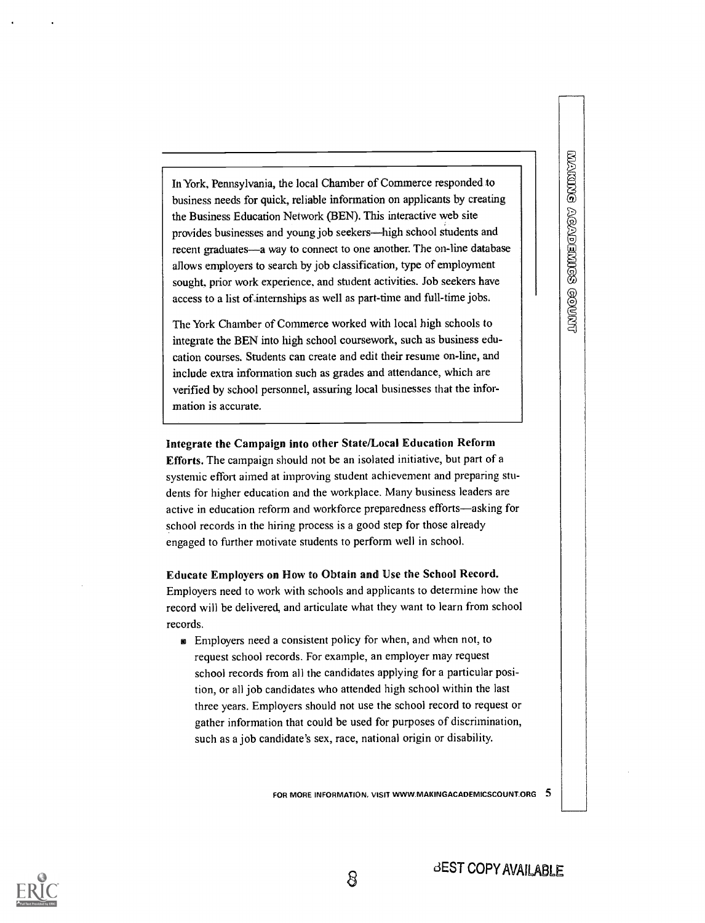In York, Pennsylvania, the local Chamber of Commerce responded to business needs for quick, reliable information on applicants by creating the Business Education Network (BEN). This interactive web site provides businesses and young job seekers—high school students and recent graduates-a way to connect to one another. The on-line database allows employers to search by job classification, type of employment sought. prior work experience, and student activities. Job seekers have access to a list of internships as well as part-time and full-time jobs.

The York Chamber of Commerce worked with local high schools to integrate the BEN into high school coursework, such as business education courses. Students can create and edit their resume on-line, and include extra information such as grades and attendance, which are verified by school personnel, assuring local businesses that the information is accurate.

#### Integrate the Campaign into other State/Local Education Reform

Efforts. The campaign should not be an isolated initiative, but part of a systemic effort aimed at improving student achievement and preparing students for higher education and the workplace. Many business leaders are active in education reform and workforce preparedness efforts-asking for school records in the hiring process is a good step for those already engaged to further motivate students to perform well in school.

Educate Employers on How to Obtain and Use the School Record. Employers need to work with schools and applicants to determine how the record will be delivered, and articulate what they want to learn from school records.

sa Employers need a consistent policy for when, and when not, to request school records. For example, an employer may request school records from all the candidates applying for a particular position, or all job candidates who attended high school within the last three years. Employers should not use the school record to request or gather information that could be used for purposes of discrimination, such as a job candidate's sex, race, national origin or disability.

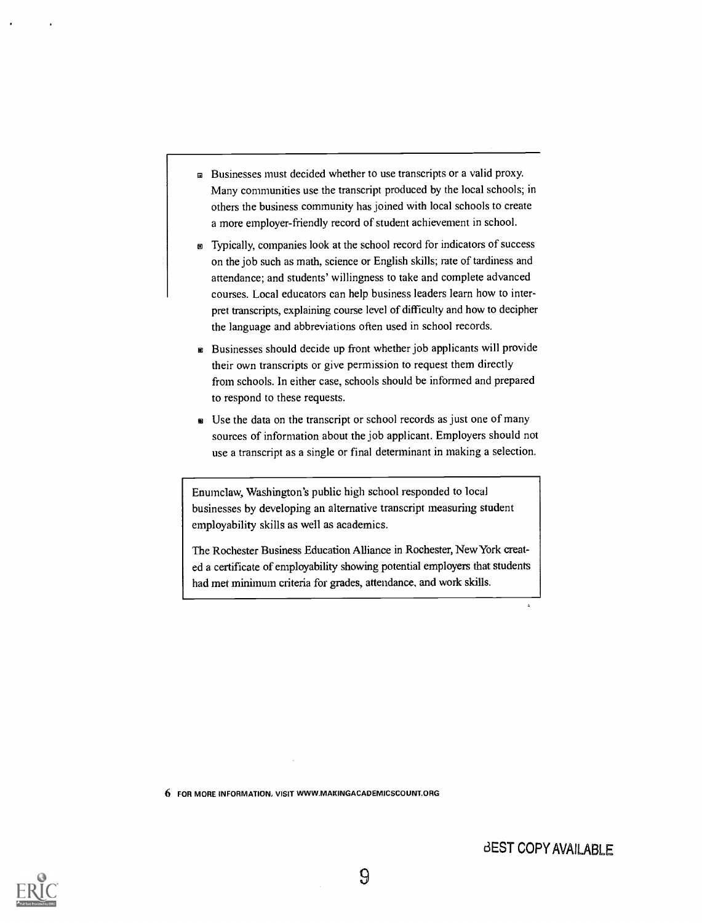- s Businesses must decided whether to use transcripts or a valid proxy. Many communities use the transcript produced by the local schools; in others the business community has joined with local schools to create a more employer-friendly record of student achievement in school.
- s Typically, companies look at the school record for indicators of success on the job such as math, science or English skills; rate of tardiness and attendance; and students' willingness to take and complete advanced courses. Local educators can help business leaders learn how to interpret transcripts, explaining course level of difficulty and how to decipher the language and abbreviations often used in school records.
- s Businesses should decide up front whether job applicants will provide their own transcripts or give permission to request them directly from schools. In either case, schools should be informed and prepared to respond to these requests.
- BA Use the data on the transcript or school records as just one of many sources of information about the job applicant. Employers should not use a transcript as a single or final determinant in making a selection.

Enumclaw, Washington's public high school responded to local businesses by developing an alternative transcript measuring student employability skills as well as academics.

The Rochester Business Education Alliance in Rochester, New York created a certificate of employability showing potential employers that students had met minimum criteria for grades, attendance, and work skills.

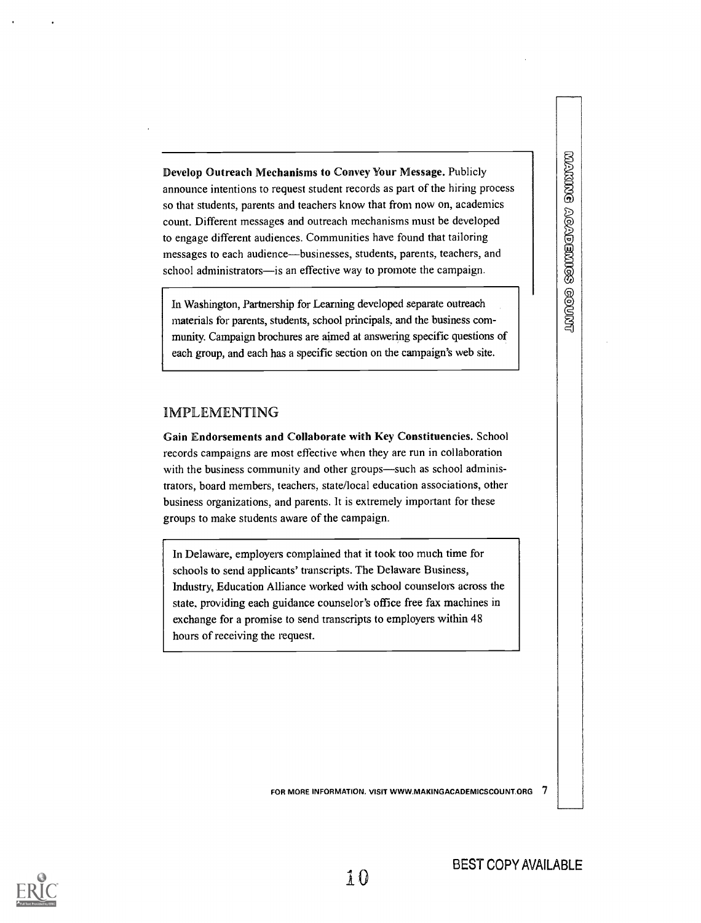Develop Outreach Mechanisms to Convey Your Message. Publicly announce intentions to request student records as part of the hiring process so that students, parents and teachers know that from now on, academics count. Different messages and outreach mechanisms must be developed to engage different audiences. Communities have found that tailoring messages to each audience—businesses, students, parents, teachers, and school administrators—is an effective way to promote the campaign.

In Washington, Partnership for Learning developed separate outreach materials for parents, students, school principals, and the business community. Campaign brochures are aimed at answering specific questions of each group, and each has a specific section on the campaign's web site.

### IMPLEMENTING

Gain Endorsements and Collaborate with Key Constituencies. School records campaigns are most effective when they are run in collaboration with the business community and other groups—such as school administrators, board members, teachers, state/local education associations, other business organizations, and parents. It is extremely important for these groups to make students aware of the campaign.

In Delaware, employers complained that it took too much time for schools to send applicants' transcripts. The Delaware Business, Industry, Education Alliance worked with school counselors across the state, providing each guidance counselor's office free fax machines in exchange for a promise to send transcripts to employers within 48 hours of receiving the request.

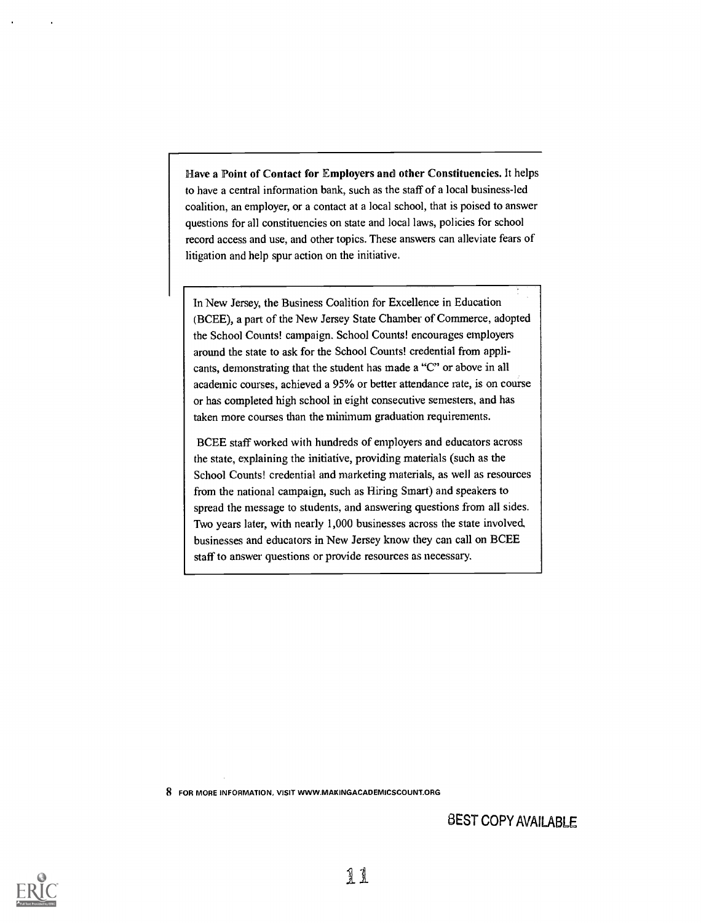Have a Point of Contact for Employers and other Constituencies. It helps to have a central information bank, such as the staff of a local business-led coalition, an employer, or a contact at a local school, that is poised to answer questions for all constituencies on state and local laws, policies for school record access and use, and other topics. These answers can alleviate fears of litigation and help spur action on the initiative.

In New Jersey, the Business Coalition for Excellence in Education (BCEE), a part of the New Jersey State Chamber of Commerce, adopted the School Counts! campaign. School Counts! encourages employers around the state to ask for the School Counts! credential from applicants, demonstrating that the student has made a "C" or above in all academic courses, achieved a 95% or better attendance rate, is on course or has completed high school in eight consecutive semesters, and has taken more courses than the minimum graduation requirements.

BCEE staff worked with hundreds of employers and educators across the state, explaining the initiative, providing materials (such as the School Counts! credential and marketing materials, as well as resources from the national campaign, such as Hiring Smart) and speakers to spread the message to students, and answering questions from all sides. Two years later, with nearly 1,000 businesses across the state involved, businesses and educators in New Jersey know they can call on BCEE staff to answer questions or provide resources as necessary.

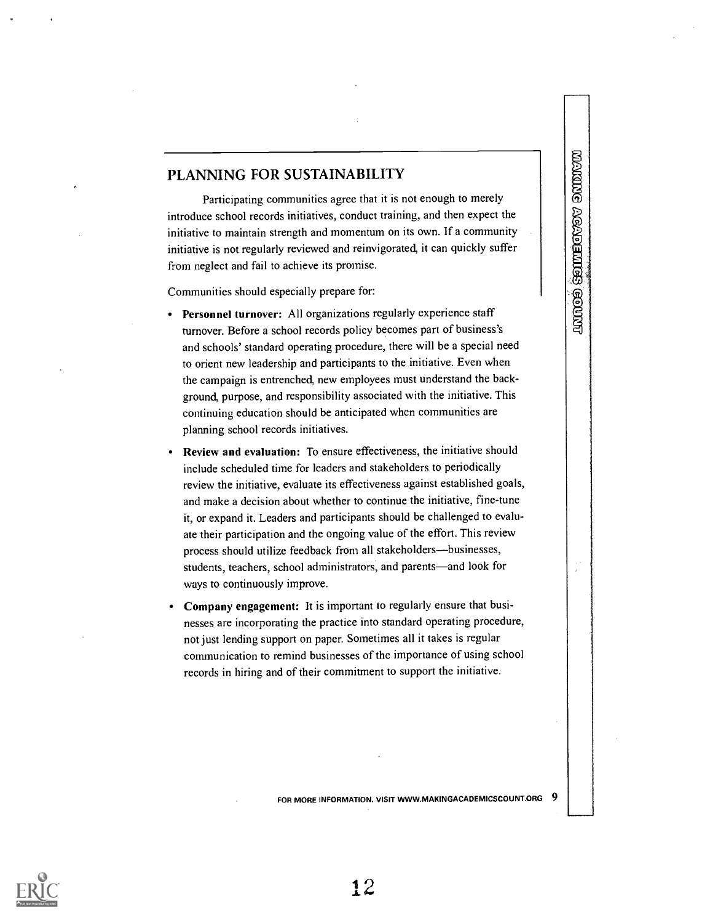### PLANNING FOR SUSTAINABILITY

Participating communities agree that it is not enough to merely introduce school records initiatives, conduct training, and then expect the **PLANNING FOR SUSTAINABILITY**<br>
Participating communities agree that it is not enough to merely<br>
introduce school records initiatives, conduct training, and then expect the<br>
initiative to maintain strength and momentum on i initiative is not regularly reviewed and reinvigorated, it can quickly suffer from neglect and fail to achieve its promise.

Communities should especially prepare for:

- Personnel turnover: All organizations regularly experience staff turnover. Before a school records policy becomes part of business's and schools' standard operating procedure, there will be a special need to orient new leadership and participants to the initiative. Even when the campaign is entrenched, new employees must understand the background, purpose, and responsibility associated with the initiative. This continuing education should be anticipated when communities are planning school records initiatives.
- Review and evaluation: To ensure effectiveness, the initiative should include scheduled time for leaders and stakeholders to periodically review the initiative, evaluate its effectiveness against established goals, and make a decision about whether to continue the initiative, fine-tune it, or expand it. Leaders and participants should be challenged to evaluate their participation and the ongoing value of the effort. This review process should utilize feedback from all stakeholders—businesses, students, teachers, school administrators, and parents—and look for ways to continuously improve.
- Company engagement: It is important to regularly ensure that businesses are incorporating the practice into standard operating procedure, not just lending support on paper. Sometimes all it takes is regular communication to remind businesses of the importance of using school records in hiring and of their commitment to support the initiative.

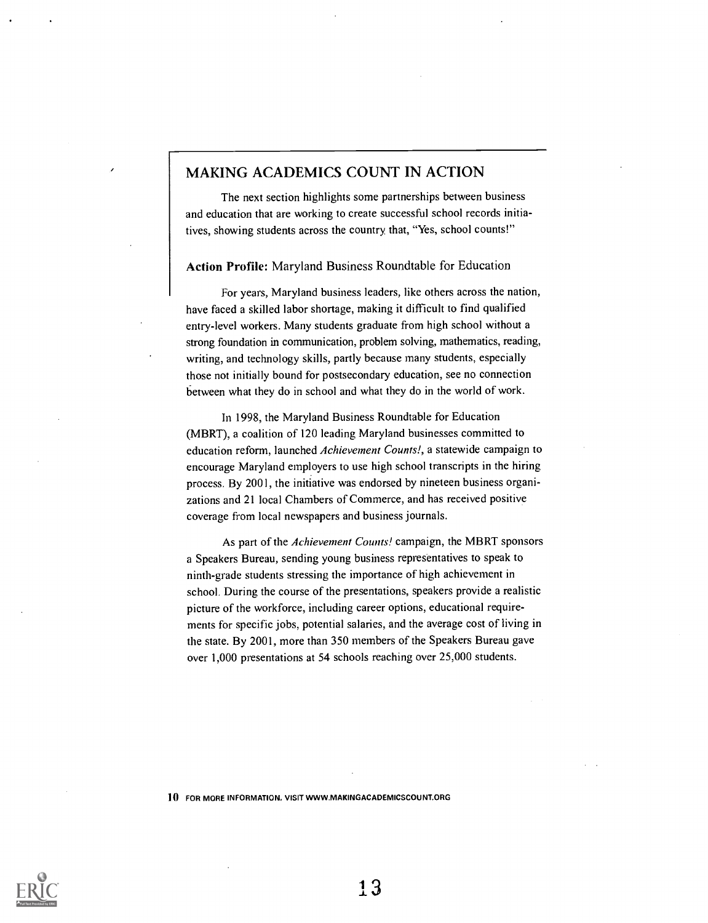### MAKING ACADEMICS COUNT IN ACTION

The next section highlights some partnerships between business and education that are working to create successful school records initiatives, showing students across the country, that, "Yes, school counts!"

#### Action Profile: Maryland Business Roundtable for Education

For years, Maryland business leaders, like others across the nation, have faced a skilled labor shortage, making it difficult to find qualified entry-level workers. Many students graduate from high school without a strong foundation in communication, problem solving, mathematics, reading, writing, and technology skills, partly because many students, especially those not initially bound for postsecondary education, see no connection between what they do in school and what they do in the world of work.

In 1998, the Maryland Business Roundtable for Education (MBRT), a coalition of 120 leading Maryland businesses committed to education reform, launched Achievement Counts!, a statewide campaign to encourage Maryland employers to use high school transcripts in the hiring process. By 2001, the initiative was endorsed by nineteen business organizations and 21 local Chambers of Commerce, and has received positive coverage from local newspapers and business journals.

As part of the Achievement Counts! campaign, the MBRT sponsors a Speakers Bureau, sending young business representatives to speak to ninth-grade students stressing the importance of high achievement in school. During the course of the presentations, speakers provide a realistic picture of the workforce, including career options, educational requirements for specific jobs, potential salaries, and the average cost of living in the state. By 2001, more than 350 members of the Speakers Bureau gave over 1,000 presentations at 54 schools reaching over 25,000 students.

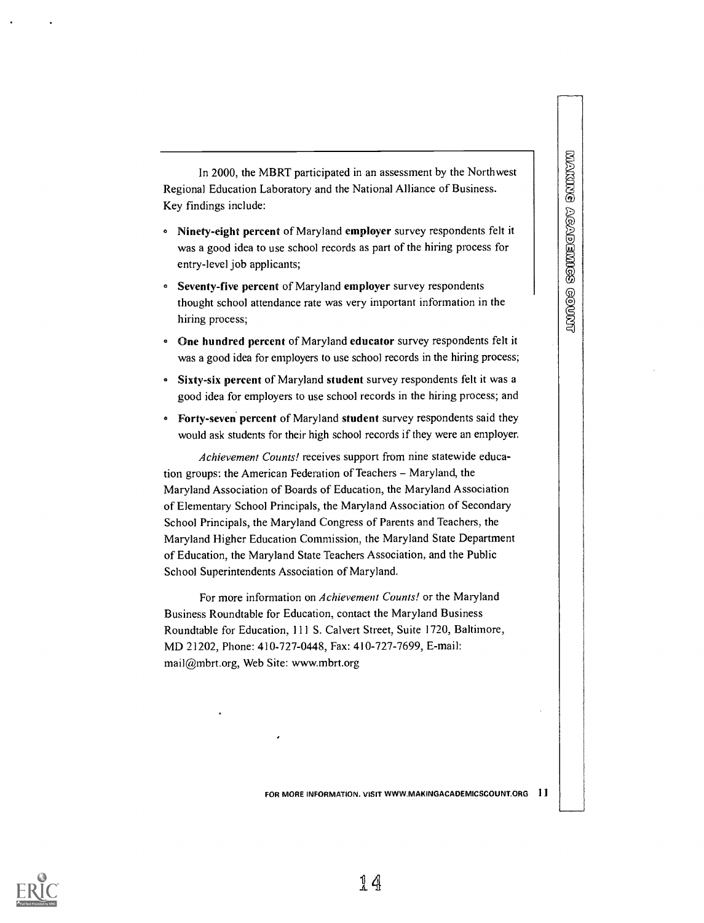**WANNE ACADEMES GOUNG** 

In 2000, the MBRT participated in an assessment by the Northwest Regional Education Laboratory and the National Alliance of Business. Key findings include:

- <sup>e</sup> Ninety-eight percent of Maryland employer survey respondents felt it was a good idea to use school records as part of the hiring process for entry-level job applicants;
- Seventy-five percent of Maryland employer survey respondents thought school attendance rate was very important information in the hiring process;
- <sup>e</sup> One hundred percent of Maryland educator survey respondents felt it was a good idea for employers to use school records in the hiring process;
- <sup>e</sup> Sixty-six percent of Maryland student survey respondents felt it was a good idea for employers to use school records in the hiring process; and
- Forty-seven percent of Maryland student survey respondents said they would ask students for their high school records if they were an employer.

Achievement Counts! receives support from nine statewide education groups: the American Federation of Teachers - Maryland, the Maryland Association of Boards of Education, the Maryland Association of Elementary School Principals, the Maryland Association of Secondary School Principals, the Maryland Congress of Parents and Teachers, the Maryland Higher Education Commission, the Maryland State Department of Education, the Maryland State Teachers Association, and the Public School Superintendents Association of Maryland.

For more information on Achievement Counts! or the Maryland Business Roundtable for Education, contact the Maryland Business Roundtable for Education, 111 S. Calvert Street, Suite 1720, Baltimore, MD 21202, Phone: 410-727-0448, Fax: 410-727-7699, E-mail: mail@mbrt.org, Web Site: www.mbrt.org

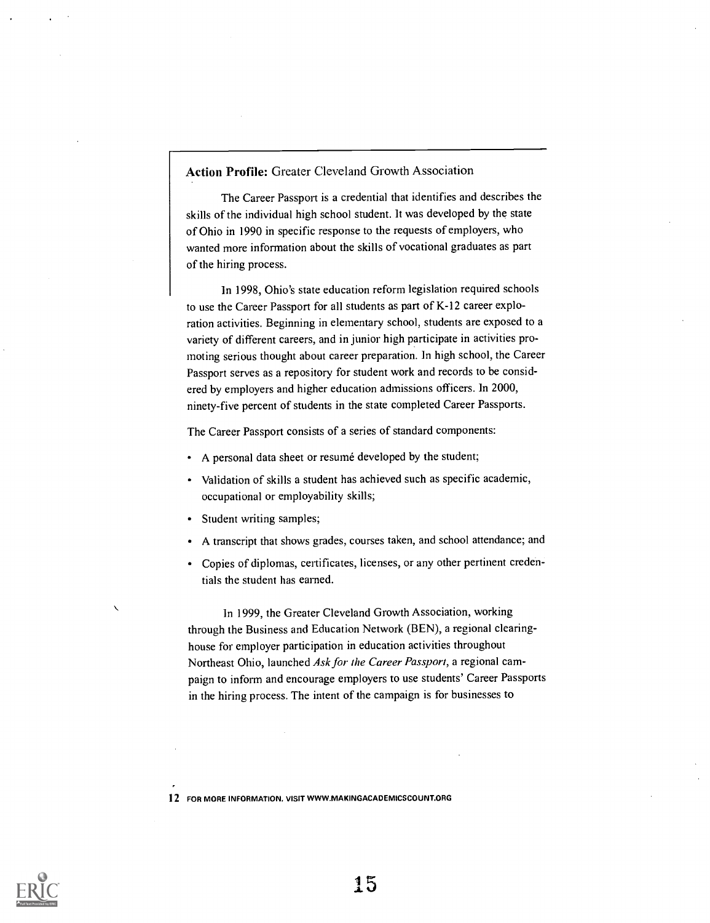Action Profile: Greater Cleveland Growth Association

The Career Passport is a credential that identifies and describes the skills of the individual high school student. It was developed by the state of Ohio in 1990 in specific response to the requests of employers, who wanted more information about the skills of vocational graduates as part of the hiring process.

In 1998, Ohio's state education reform legislation required schools to use the Career Passport for all students as part of K-12 career exploration activities. Beginning in elementary school, students are exposed to a variety of different careers, and in junior high participate in activities promoting serious thought about career preparation. In high school, the Career Passport serves as a repository for student work and records to be considered by employers and higher education admissions officers. In 2000, ninety-five percent of students in the state completed Career Passports.

The Career Passport consists of a series of standard components:

- A personal data sheet or resumé developed by the student;
- Validation of skills a student has achieved such as specific academic, occupational or employability skills;
- Student writing samples;
- A transcript that shows grades, courses taken, and school attendance; and
- Copies of diplomas, certificates, licenses, or any other pertinent credentials the student has earned.

ln 1999, the Greater Cleveland Growth Association, working through the Business and Education Network (BEN), a regional clearinghouse for employer participation in education activities throughout Northeast Ohio, launched Ask for the Career Passport, a regional campaign to inform and encourage employers to use students' Career Passports in the hiring process. The intent of the campaign is for businesses to

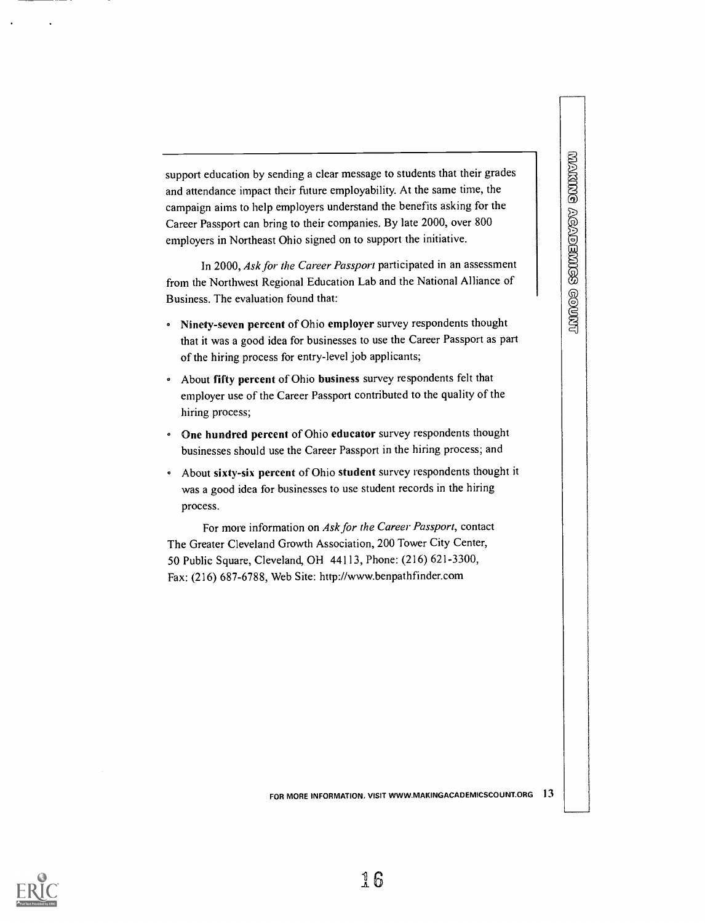support education by sending a clear message to students that their grades and attendance impact their future employability. At the same time, the campaign aims to help employers understand the benefits asking for the Career Passport can bring to their companies. By late 2000, over 800 employers in Northeast Ohio signed on to support the initiative.

In 2000, Ask for the Career Passport participated in an assessment from the Northwest Regional Education Lab and the National Alliance of Business. The evaluation found that:

- Ninety-seven percent of Ohio employer survey respondents thought that it was a good idea for businesses to use the Career Passport as part of the hiring process for entry-level job applicants;
- <sup>o</sup> About fifty percent of Ohio business survey respondents felt that employer use of the Career Passport contributed to the quality of the hiring process;
- One hundred percent of Ohio educator survey respondents thought businesses should use the Career Passport in the hiring process; and
- About sixty-six percent of Ohio student survey respondents thought it was a good idea for businesses to use student records in the hiring process.

For more information on Ask for the Career Passport, contact The Greater Cleveland Growth Association, 200 Tower City Center, 50 Public Square, Cleveland, OH 44113, Phone: (216) 621-3300, Fax: (216) 687-6788, Web Site: http://www.benpathfinder.com

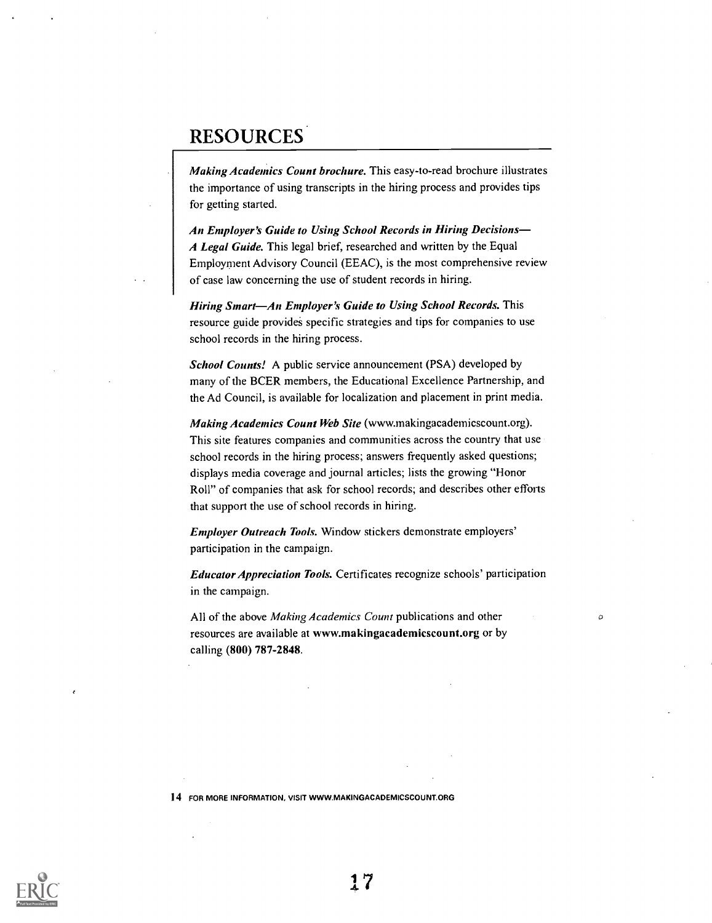### RESOURCES

Making Academics Count brochure. This easy-to-read brochure illustrates the importance of using transcripts in the hiring process and provides tips for getting started.

An Employer's Guide to Using School Records in Hiring Decisions A Legal Guide. This legal brief, researched and written by the Equal Employment Advisory Council (EEAC), is the most comprehensive review of case law concerning the use of student records in hiring.

Hiring Smart-An Employer's Guide to Using School Records. This resource guide provides specific strategies and tips for companies to use school records in the hiring process.

School Counts! A public service announcement (PSA) developed by many of the BCER members, the Educational Excellence Partnership, and the Ad Council, is available for localization and placement in print media.

Making Academics Count Web Site (www.makingacademicscount.org). This site features companies and communities across the country that use school records in the hiring process; answers frequently asked questions; displays media coverage and journal articles; lists the growing "Honor Roll" of companies that ask for school records; and describes other efforts that support the use of school records in hiring.

Employer Outreach Tools. Window stickers demonstrate employers' participation in the campaign.

Educator Appreciation Tools. Certificates recognize schools' participation in the campaign.

 $\sigma$ 

All of the above Making Academics Count publications and other resources are available at www.makingacademicscount.org or by calling (800) 787-2848.

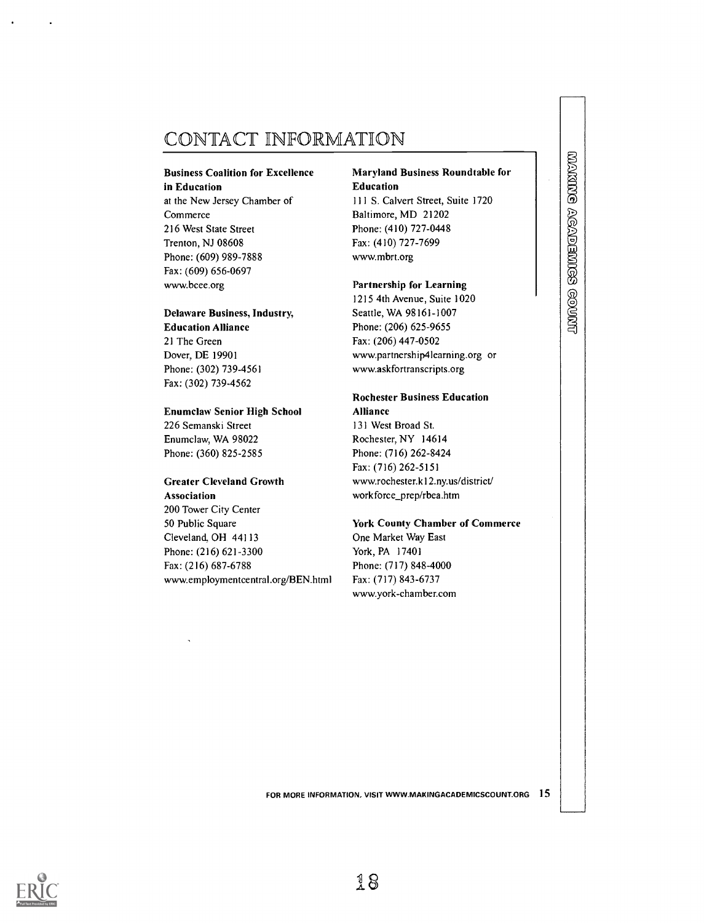### CONTACT INFORMATION

#### Business Coalition for Excellence in Education

at the New Jersey Chamber of Commerce 216 West State Street Trenton, NJ 08608 Phone: (609) 989-7888 Fax: (609) 656-0697 www.bcee.org

#### Delaware Business, Industry,

Education Alliance 21 The Green Dover, DE 19901 Phone: (302) 739-4561 Fax: (302) 739-4562

#### Enumclaw Senior High School

226 Semanski Street Enumclaw, WA 98022 Phone: (360) 825-2585

### Greater Cleveland Growth

Association 200 Tower City Center 50 Public Square Cleveland, OH 44113 Phone: (216) 621-3300 Fax: (216) 687-6788 www.employmentcentral.org/BEN.html

#### Maryland Business Roundtable for Education

111 S. Calvert Street, Suite 1720 Baltimore, MD 21202 Phone: (410) 727-0448 Fax: (410) 727-7699 www.mbrt.org

#### Partnership for Learning

1215 4th Avenue, Suite 1020 Seattle, WA 98161-1007 Phone: (206) 625-9655 Fax: (206) 447-0502 www.partnership4learning.org or www.askfortranscripts.org

#### Rochester Business Education Alliance

131 West Broad St. Rochester, NY 14614 Phone: (716) 262-8424 Fax: (716) 262-5151 www.rochester.k12.ny.us/district/ workforce\_prep/rbea.htm

### York County Chamber of Commerce

One Market Way East York, PA 17401 Phone: (717) 848-4000 Fax: (717) 843-6737 www.york-chamber.com **WAKING AGADEMIGS GOUNT** 

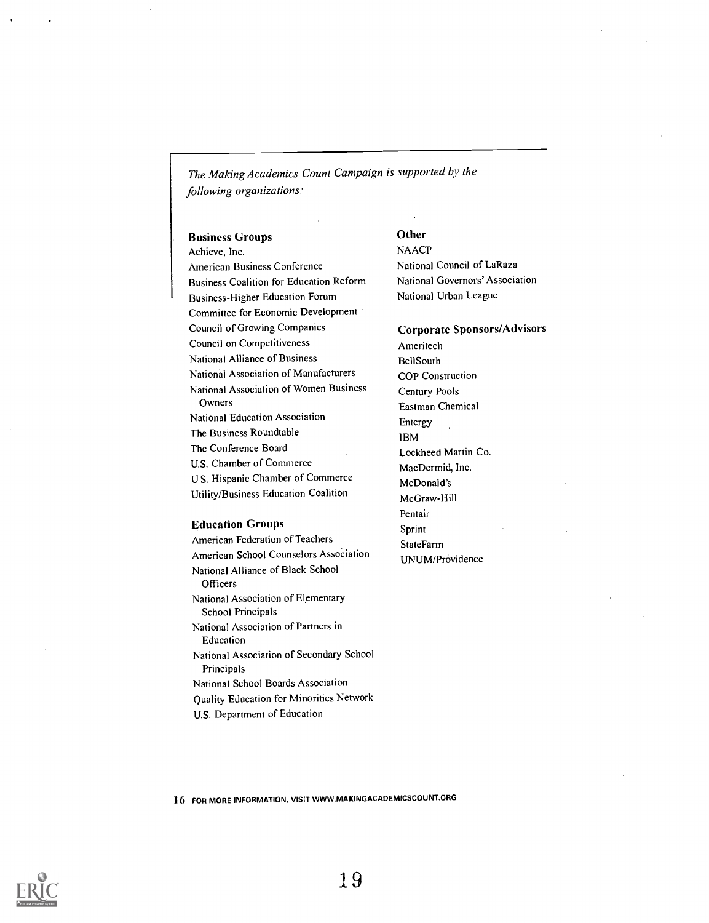The Making Academics Count Campaign is supported by the following organizations:

#### Business Groups

Achieve, Inc. American Business Conference Business Coalition for Education Reform Business-Higher Education Forum Committee for Economic Development Council of Growing Companies Council on Competitiveness National Alliance of Business National Association of Manufacturers National Association of Women Business Owners National Education Association The Business Roundtable The Conference Board U.S. Chamber of Commerce U.S. Hispanic Chamber of Commerce Utility/Business Education Coalition

#### Education Groups

American Federation of Teachers American School Counselors Association National Alliance of Black School **Officers** National Association of Elementary School Principals National Association of Partners in Education National Association of Secondary School Principals National School Boards Association Quality Education for Minorities Network U.S. Department of Education

### **Other**

**NAACP** National Council of LaRaza National Governors' Association National Urban League

Corporate Sponsors/Advisors Ameritech BellSouth COP Construction Century Pools Eastman Chemical Entergy IBM Lockheed Martin Co. MacDermid, Inc. McDonald's McGraw-Hill Pentair Sprint StateFarm UNUM/Providence

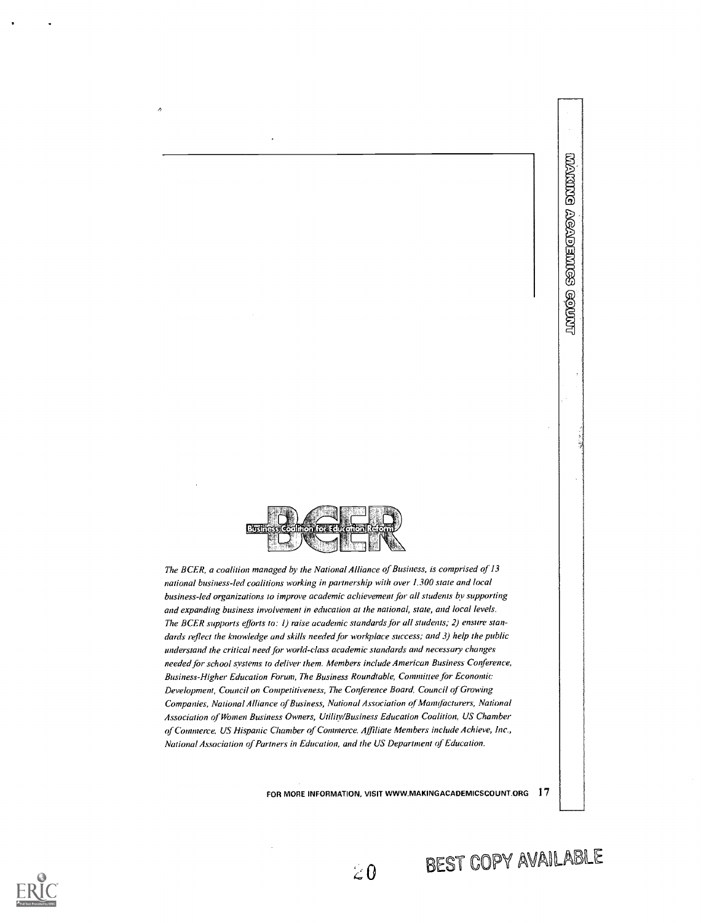

 $\lambda$ 

The BCER, a coalition managed by the National Alliance of Business, is comprised of 13 national business-led coalitions working in partnership with over 1,300 state and local business-led organizations to improve academic achievement for all students by supporting and expanding business involvement in education at the national, state, and local levels. The BCER supports efforts to: 1) raise academic standards for all students; 2) ensure standards reflect the knowledge and skills needed for workplace success; and 3) help the public understand the critical need for world-class academic standards and necessary changes needed for school systems to deliver them. Members include American Business Conference, Business-Higher Education Forum, The Business Roundtable, Committee for Economic Development, Council on Competitiveness, The Conference Board, Council of Growing Companies, National Alliance of Business, National Association of Manufacturers, National Association of Women Business Owners, Utility/Business Education Coalition, US Chamber of Commerce, US Hispanic Chamber of Commerce. Affiliate Members include Achieve, Inc., National Association of Partners in Education, and the US Department of Education.

FOR MORE INFORMATION, VISIT WWW.MAKINGACADEMICSCOUNT.ORG 17





**MANGE ACADEMICS GOUNG** 

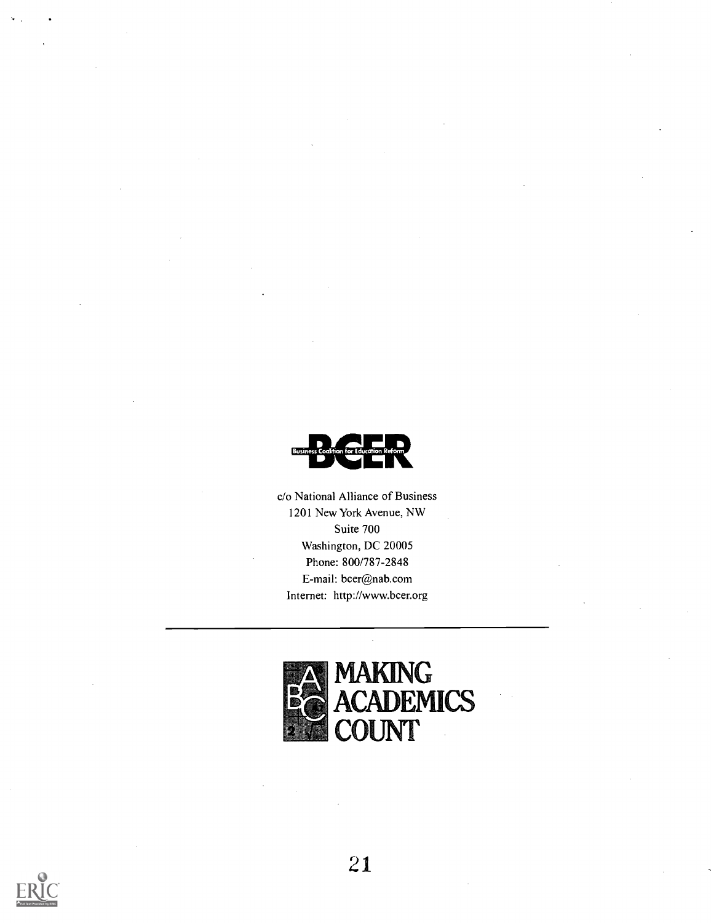

c/o National Alliance of Business 1201 New York Avenue, NW Suite 700 Washington, DC 20005 Phone: 800/787-2848 E-mail: bcer@nab.com Internet: http://www.bcer.org